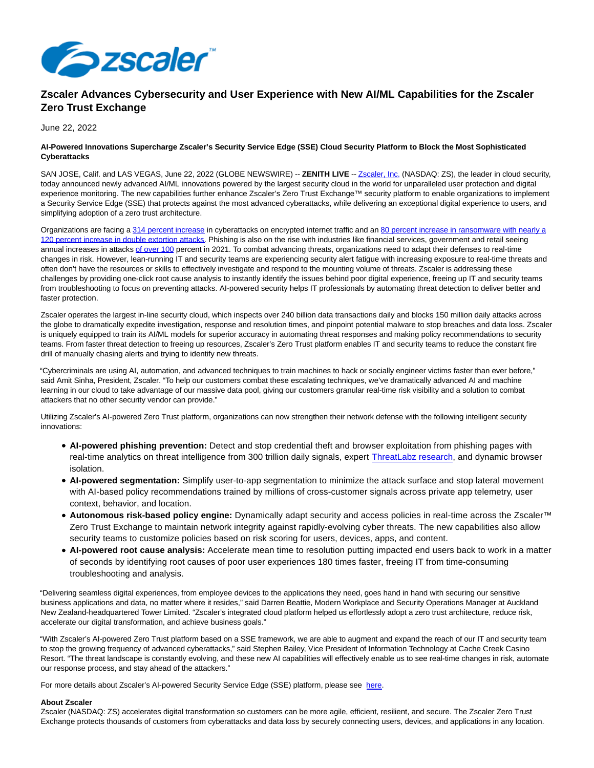

## **Zscaler Advances Cybersecurity and User Experience with New AI/ML Capabilities for the Zscaler Zero Trust Exchange**

June 22, 2022

## **AI-Powered Innovations Supercharge Zscaler's Security Service Edge (SSE) Cloud Security Platform to Block the Most Sophisticated Cyberattacks**

SAN JOSE, Calif. and LAS VEGAS, June 22, 2022 (GLOBE NEWSWIRE) -- **ZENITH LIVE** -[- Zscaler, Inc. \(](https://www.globenewswire.com/Tracker?data=BGiOzdrecVSV-QC-gAh-pCngAM3FLDDL4dXHdacNuzXQdXY-d2q34DEgD5qSOmksAyTDrHOQFAzBbRDWz9tu8A==)NASDAQ: ZS), the leader in cloud security, today announced newly advanced AI/ML innovations powered by the largest security cloud in the world for unparalleled user protection and digital experience monitoring. The new capabilities further enhance Zscaler's Zero Trust Exchange™ security platform to enable organizations to implement a Security Service Edge (SSE) that protects against the most advanced cyberattacks, while delivering an exceptional digital experience to users, and simplifying adoption of a zero trust architecture.

Organizations are facing a [314 percent increase i](https://www.globenewswire.com/Tracker?data=aUP4nCFeVSi0utaBIRfaqoYpedhtG8Kw5oWwefW9Zo52jj0_9ApwH54V0Lqt8bl8ltBhHSa90ugcfCSqwBboZw0ZCogOfXl6Ve-zgUk7sohBUrBZtFgdR6h2PWyPvcK0j77824--Zo0gXdxzEnvvEqGa0WfhxSh1xS5hTgpth0Y=)n cyberattacks on encrypted internet traffic and an [80 percent increase in ransomware with nearly a](https://www.globenewswire.com/Tracker?data=RcV9DyuZ0X93YJBvdTcWaLG1-u3S--qHa6N49Lbq_b9FGcrv8vkg3uP3Bjm2qX21sb-IbjlmiVJZrPIkj9BeJ9rscKeu_G0i0RbctrhOhJ6cwkauUmigQ6HxVcSTOGaqeet5g3PecDcH1Lv4iIq4NOxN9SouYJfSV-VvjFMQgMT09zKLqNGAjz5-WJ1LOZNwKnC5gw42bzXqaGY24sLjtt4VI7obzxw0nQwT882oD5pXy0ic9F2hPEYe9ELG5cOXin5UYZbKDzw19e6JYrKrwQ==) 120 percent increase in double extortion attacks. Phishing is also on the rise with industries like financial services, government and retail seeing annual increases in attacks [of over 100 p](https://www.globenewswire.com/Tracker?data=MPGZAltpTye5cS4ig3pK-Y0FtOT84KZyBsxyi6T7egj-AlFl7KnhmaJ7PcyikYpw0DZygu4XEBdYd6QAeKdRmv3mB-0n0v-_8Nc11pd3I_ZAjP7-makTlqp_f08AKWvfZ5zVmpR0lRslc-QZkdl8wsdlUagC86Ybsnp68SCNMAo=)ercent in 2021. To combat advancing threats, organizations need to adapt their defenses to real-time changes in risk. However, lean-running IT and security teams are experiencing security alert fatigue with increasing exposure to real-time threats and often don't have the resources or skills to effectively investigate and respond to the mounting volume of threats. Zscaler is addressing these challenges by providing one-click root cause analysis to instantly identify the issues behind poor digital experience, freeing up IT and security teams from troubleshooting to focus on preventing attacks. AI-powered security helps IT professionals by automating threat detection to deliver better and faster protection.

Zscaler operates the largest in-line security cloud, which inspects over 240 billion data transactions daily and blocks 150 million daily attacks across the globe to dramatically expedite investigation, response and resolution times, and pinpoint potential malware to stop breaches and data loss. Zscaler is uniquely equipped to train its AI/ML models for superior accuracy in automating threat responses and making policy recommendations to security teams. From faster threat detection to freeing up resources, Zscaler's Zero Trust platform enables IT and security teams to reduce the constant fire drill of manually chasing alerts and trying to identify new threats.

"Cybercriminals are using AI, automation, and advanced techniques to train machines to hack or socially engineer victims faster than ever before," said Amit Sinha, President, Zscaler. "To help our customers combat these escalating techniques, we've dramatically advanced AI and machine learning in our cloud to take advantage of our massive data pool, giving our customers granular real-time risk visibility and a solution to combat attackers that no other security vendor can provide."

Utilizing Zscaler's AI-powered Zero Trust platform, organizations can now strengthen their network defense with the following intelligent security innovations:

- **AI-powered phishing prevention:** Detect and stop credential theft and browser exploitation from phishing pages with real-time analytics on threat intelligence from 300 trillion daily signals, expert [ThreatLabz research,](https://www.zscaler.com/resources/infographics/2022-threatlabz-phishing-report-infographic.pdf) and dynamic browser isolation.
- **AI-powered segmentation:** Simplify user-to-app segmentation to minimize the attack surface and stop lateral movement with AI-based policy recommendations trained by millions of cross-customer signals across private app telemetry, user context, behavior, and location.
- **Autonomous risk-based policy engine:** Dynamically adapt security and access policies in real-time across the Zscaler™ Zero Trust Exchange to maintain network integrity against rapidly-evolving cyber threats. The new capabilities also allow security teams to customize policies based on risk scoring for users, devices, apps, and content.
- **AI-powered root cause analysis:** Accelerate mean time to resolution putting impacted end users back to work in a matter of seconds by identifying root causes of poor user experiences 180 times faster, freeing IT from time-consuming troubleshooting and analysis.

"Delivering seamless digital experiences, from employee devices to the applications they need, goes hand in hand with securing our sensitive business applications and data, no matter where it resides," said Darren Beattie, Modern Workplace and Security Operations Manager at Auckland New Zealand-headquartered Tower Limited. "Zscaler's integrated cloud platform helped us effortlessly adopt a zero trust architecture, reduce risk, accelerate our digital transformation, and achieve business goals."

"With Zscaler's AI-powered Zero Trust platform based on a SSE framework, we are able to augment and expand the reach of our IT and security team to stop the growing frequency of advanced cyberattacks," said Stephen Bailey, Vice President of Information Technology at Cache Creek Casino Resort. "The threat landscape is constantly evolving, and these new AI capabilities will effectively enable us to see real-time changes in risk, automate our response process, and stay ahead of the attackers."

For more details about Zscaler's AI-powered Security Service Edge (SSE) platform, please see [here.](https://www.globenewswire.com/Tracker?data=JL-liMtt1yR1iQLc1oGtPfRNOsJE2TU0YgXTvLiEfYts23PwfMeAsCpMx3_-byaEjYEkR_-7RQo93qUBr5SPQDNZ2jaliPxxQUTkRT1YM58=)

## **About Zscaler**

Zscaler (NASDAQ: ZS) accelerates digital transformation so customers can be more agile, efficient, resilient, and secure. The Zscaler Zero Trust Exchange protects thousands of customers from cyberattacks and data loss by securely connecting users, devices, and applications in any location.